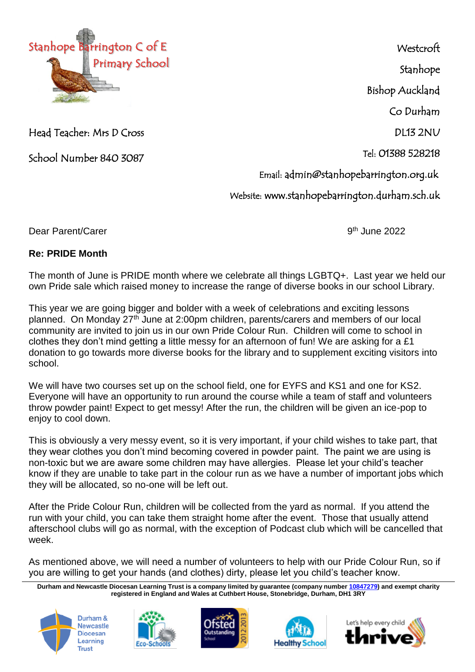

Head Teacher: Mrs D Cross

School Number 840 3087

**Westcroft** Stanhope Bishop Auckland Co Durham DL13 2NU Tel: 01388 528218 Email: admin@stanhopebarrington.org.uk Website: www.stanhopebarrington.durham.sch.uk

Dear Parent/Carer

 $9<sup>th</sup>$  June 2022

## **Re: PRIDE Month**

The month of June is PRIDE month where we celebrate all things LGBTQ+. Last year we held our compact of the same of the set of the set of the set of the set of the set of the set of the set of the set of the set of the set own Pride sale which raised money to increase the range of diverse books in our school Library.

This year we are going bigger and bolder with a week of celebrations and exciting lessons planned. On Monday 27<sup>th</sup> June at 2:00pm children, parents/carers and members of our local community are invited to join us in our own Pride Colour Run. Children will come to school in clothes they don't mind getting a little messy for an afternoon of fun! We are asking for a £1 donation to go towards more diverse books for the library and to supplement exciting visitors into school.

We will have two courses set up on the school field, one for EYFS and KS1 and one for KS2. Everyone will have an opportunity to run around the course while a team of staff and volunteers throw powder paint! Expect to get messy! After the run, the children will be given an ice-pop to enjoy to cool down.

This is obviously a very messy event, so it is very important, if your child wishes to take part, that they wear clothes you don't mind becoming covered in powder paint. The paint we are using is non-toxic but we are aware some children may have allergies. Please let your child's teacher know if they are unable to take part in the colour run as we have a number of important jobs which they will be allocated, so no-one will be left out.

After the Pride Colour Run, children will be collected from the yard as normal. If you attend the run with your child, you can take them straight home after the event. Those that usually attend afterschool clubs will go as normal, with the exception of Podcast club which will be cancelled that week.

As mentioned above, we will need a number of volunteers to help with our Pride Colour Run, so if you are willing to get your hands (and clothes) dirty, please let you child's teacher know.

**Durham and Newcastle Diocesan Learning Trust is a company limited by guarantee (company number [10847279\)](tel:10847279) and exempt charity registered in England and Wales at Cuthbert House, Stonebridge, Durham, DH1 3RY**